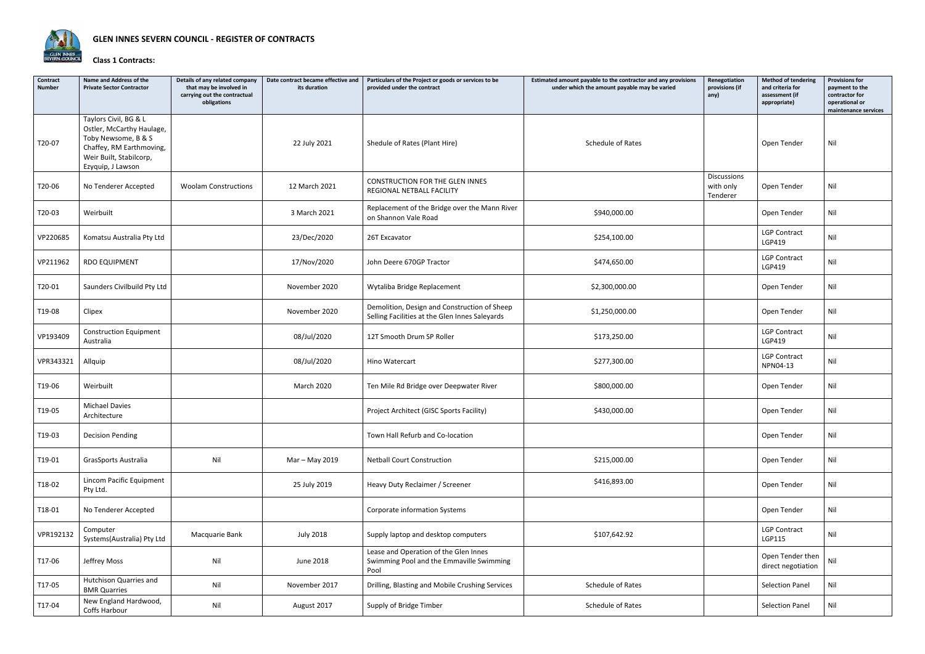

## **Class 1 Contracts:**

| Contract<br><b>Number</b> | Name and Address of the<br><b>Private Sector Contractor</b>                                                                                           | Details of any related company<br>that may be involved in<br>carrying out the contractual<br>obligations | Date contract became effective and<br>its duration | Particulars of the Project or goods or services to be<br>provided under the contract           | Estimated amount payable to the contractor and any provisions<br>under which the amount payable may be varied | Renegotiation<br>provisions (if<br>any) | <b>Method of tendering</b><br>and criteria for<br>assessment (if<br>appropriate) | <b>Provisions for</b><br>payment to the<br>contractor for<br>operational or<br>maintenance services |
|---------------------------|-------------------------------------------------------------------------------------------------------------------------------------------------------|----------------------------------------------------------------------------------------------------------|----------------------------------------------------|------------------------------------------------------------------------------------------------|---------------------------------------------------------------------------------------------------------------|-----------------------------------------|----------------------------------------------------------------------------------|-----------------------------------------------------------------------------------------------------|
| T20-07                    | Taylors Civil, BG & L<br>Ostler, McCarthy Haulage,<br>Toby Newsome, B & S<br>Chaffey, RM Earthmoving,<br>Weir Built, Stabilcorp,<br>Ezyquip, J Lawson |                                                                                                          | 22 July 2021                                       | Shedule of Rates (Plant Hire)                                                                  | Schedule of Rates                                                                                             |                                         | Open Tender                                                                      | Nil                                                                                                 |
| T20-06                    | No Tenderer Accepted                                                                                                                                  | <b>Woolam Constructions</b>                                                                              | 12 March 2021                                      | CONSTRUCTION FOR THE GLEN INNES<br>REGIONAL NETBALL FACILITY                                   |                                                                                                               | Discussions<br>with only<br>Tenderer    | Open Tender                                                                      | Nil                                                                                                 |
| T20-03                    | Weirbuilt                                                                                                                                             |                                                                                                          | 3 March 2021                                       | Replacement of the Bridge over the Mann River<br>on Shannon Vale Road                          | \$940,000.00                                                                                                  |                                         | Open Tender                                                                      | Nil                                                                                                 |
| VP220685                  | Komatsu Australia Pty Ltd                                                                                                                             |                                                                                                          | 23/Dec/2020                                        | 26T Excavator                                                                                  | \$254,100.00                                                                                                  |                                         | <b>LGP Contract</b><br>LGP419                                                    | Nil                                                                                                 |
| VP211962                  | RDO EQUIPMENT                                                                                                                                         |                                                                                                          | 17/Nov/2020                                        | John Deere 670GP Tractor                                                                       | \$474,650.00                                                                                                  |                                         | <b>LGP Contract</b><br>LGP419                                                    | Nil                                                                                                 |
| T20-01                    | Saunders Civilbuild Pty Ltd                                                                                                                           |                                                                                                          | November 2020                                      | Wytaliba Bridge Replacement                                                                    | \$2,300,000.00                                                                                                |                                         | Open Tender                                                                      | Nil                                                                                                 |
| T19-08                    | Clipex                                                                                                                                                |                                                                                                          | November 2020                                      | Demolition, Design and Construction of Sheep<br>Selling Facilities at the Glen Innes Saleyards | \$1,250,000.00                                                                                                |                                         | Open Tender                                                                      | Nil                                                                                                 |
| VP193409                  | <b>Construction Equipment</b><br>Australia                                                                                                            |                                                                                                          | 08/Jul/2020                                        | 12T Smooth Drum SP Roller                                                                      | \$173,250.00                                                                                                  |                                         | <b>LGP Contract</b><br>LGP419                                                    | Nil                                                                                                 |
| VPR343321                 | Allquip                                                                                                                                               |                                                                                                          | 08/Jul/2020                                        | Hino Watercart                                                                                 | \$277,300.00                                                                                                  |                                         | <b>LGP Contract</b><br>NPN04-13                                                  | Nil                                                                                                 |
| T19-06                    | Weirbuilt                                                                                                                                             |                                                                                                          | March 2020                                         | Ten Mile Rd Bridge over Deepwater River                                                        | \$800,000.00                                                                                                  |                                         | Open Tender                                                                      | Nil                                                                                                 |
| T19-05                    | <b>Michael Davies</b><br>Architecture                                                                                                                 |                                                                                                          |                                                    | Project Architect (GISC Sports Facility)                                                       | \$430,000.00                                                                                                  |                                         | Open Tender                                                                      | Nil                                                                                                 |
| T19-03                    | <b>Decision Pending</b>                                                                                                                               |                                                                                                          |                                                    | Town Hall Refurb and Co-location                                                               |                                                                                                               |                                         | Open Tender                                                                      | Nil                                                                                                 |
| T19-01                    | GrasSports Australia                                                                                                                                  | Nil                                                                                                      | Mar - May 2019                                     | <b>Netball Court Construction</b>                                                              | \$215,000.00                                                                                                  |                                         | Open Tender                                                                      | Nil                                                                                                 |
| T18-02                    | Lincom Pacific Equipment<br>Pty Ltd.                                                                                                                  |                                                                                                          | 25 July 2019                                       | Heavy Duty Reclaimer / Screener                                                                | \$416,893.00                                                                                                  |                                         | Open Tender                                                                      | Nil                                                                                                 |
| T18-01                    | No Tenderer Accepted                                                                                                                                  |                                                                                                          |                                                    | Corporate information Systems                                                                  |                                                                                                               |                                         | Open Tender                                                                      | Nil                                                                                                 |
| VPR192132                 | Computer<br>Systems(Australia) Pty Ltd                                                                                                                | Macquarie Bank                                                                                           | <b>July 2018</b>                                   | Supply laptop and desktop computers                                                            | \$107,642.92                                                                                                  |                                         | <b>LGP Contract</b><br>LGP115                                                    | Nil                                                                                                 |
| T17-06                    | Jeffrey Moss                                                                                                                                          | Nil                                                                                                      | June 2018                                          | Lease and Operation of the Glen Innes<br>Swimming Pool and the Emmaville Swimming<br>Pool      |                                                                                                               |                                         | Open Tender then<br>direct negotiation                                           | Nil                                                                                                 |
| T17-05                    | Hutchison Quarries and<br><b>BMR Quarries</b>                                                                                                         | Nil                                                                                                      | November 2017                                      | Drilling, Blasting and Mobile Crushing Services                                                | Schedule of Rates                                                                                             |                                         | <b>Selection Panel</b>                                                           | Nil                                                                                                 |
| T17-04                    | New England Hardwood,<br>Coffs Harbour                                                                                                                | Nil                                                                                                      | August 2017                                        | Supply of Bridge Timber                                                                        | Schedule of Rates                                                                                             |                                         | <b>Selection Panel</b>                                                           | Nil                                                                                                 |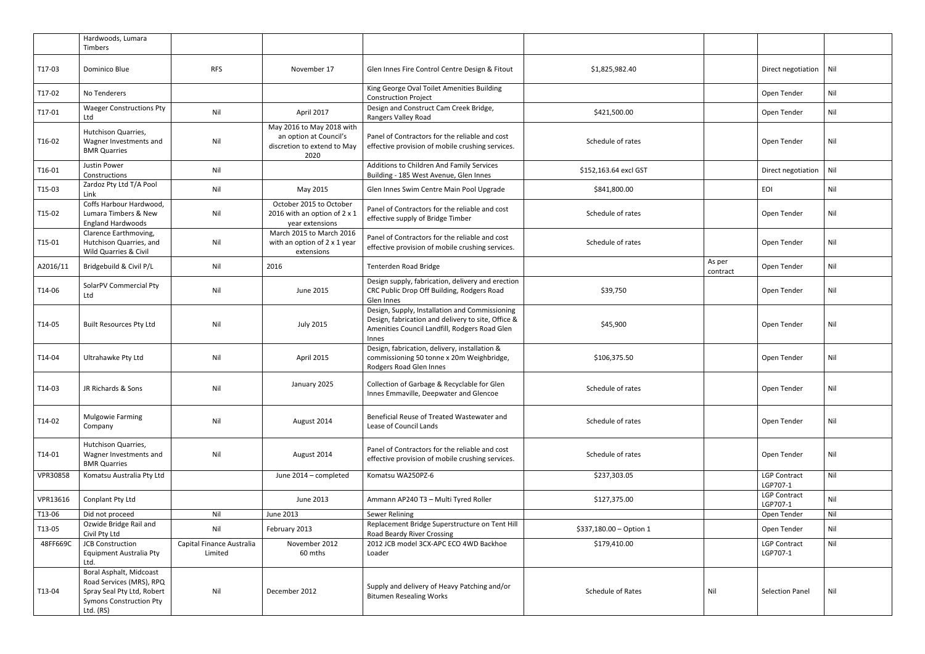|          | Hardwoods, Lumara<br>Timbers                                                                                                     |                                      |                                                                                            |                                                                                                                                                                |                         |                    |                                 |     |
|----------|----------------------------------------------------------------------------------------------------------------------------------|--------------------------------------|--------------------------------------------------------------------------------------------|----------------------------------------------------------------------------------------------------------------------------------------------------------------|-------------------------|--------------------|---------------------------------|-----|
| T17-03   | Dominico Blue                                                                                                                    | <b>RFS</b>                           | November 17                                                                                | Glen Innes Fire Control Centre Design & Fitout                                                                                                                 | \$1,825,982.40          |                    | Direct negotiation              | Nil |
| T17-02   | No Tenderers                                                                                                                     |                                      |                                                                                            | King George Oval Toilet Amenities Building<br><b>Construction Project</b>                                                                                      |                         |                    | Open Tender                     | Nil |
| T17-01   | <b>Waeger Constructions Pty</b><br>Ltd                                                                                           | Nil                                  | April 2017                                                                                 | Design and Construct Cam Creek Bridge,<br>Rangers Valley Road                                                                                                  | \$421,500.00            |                    | Open Tender                     | Nil |
| T16-02   | Hutchison Quarries,<br>Wagner Investments and<br><b>BMR Quarries</b>                                                             | Nil                                  | May 2016 to May 2018 with<br>an option at Council's<br>discretion to extend to May<br>2020 | Panel of Contractors for the reliable and cost<br>effective provision of mobile crushing services.                                                             | Schedule of rates       |                    | Open Tender                     | Nil |
| T16-01   | <b>Justin Power</b><br>Constructions                                                                                             | Nil                                  |                                                                                            | Additions to Children And Family Services<br>Building - 185 West Avenue, Glen Innes                                                                            | \$152,163.64 excl GST   |                    | Direct negotiation              | Nil |
| T15-03   | Zardoz Pty Ltd T/A Pool<br>Link                                                                                                  | Nil                                  | May 2015                                                                                   | Glen Innes Swim Centre Main Pool Upgrade                                                                                                                       | \$841,800.00            | EOI                |                                 | Nil |
| T15-02   | Coffs Harbour Hardwood,<br>Lumara Timbers & New<br><b>England Hardwoods</b>                                                      | Nil                                  | October 2015 to October<br>2016 with an option of 2 x 1<br>year extensions                 | Panel of Contractors for the reliable and cost<br>effective supply of Bridge Timber                                                                            | Schedule of rates       |                    | Open Tender                     | Nil |
| T15-01   | Clarence Earthmoving,<br>Hutchison Quarries, and<br>Wild Quarries & Civil                                                        | Nil                                  | March 2015 to March 2016<br>with an option of 2 x 1 year<br>extensions                     | Panel of Contractors for the reliable and cost<br>effective provision of mobile crushing services.                                                             | Schedule of rates       |                    | Open Tender                     | Nil |
| A2016/11 | Bridgebuild & Civil P/L                                                                                                          | Nil                                  | 2016                                                                                       | Tenterden Road Bridge                                                                                                                                          |                         | As per<br>contract | Open Tender                     | Nil |
| T14-06   | SolarPV Commercial Pty<br>Ltd                                                                                                    | Nil                                  | June 2015                                                                                  | Design supply, fabrication, delivery and erection<br>CRC Public Drop Off Building, Rodgers Road<br>Glen Innes                                                  | \$39,750                |                    | Open Tender                     | Nil |
| T14-05   | <b>Built Resources Pty Ltd</b>                                                                                                   | Nil                                  | <b>July 2015</b>                                                                           | Design, Supply, Installation and Commissioning<br>Design, fabrication and delivery to site, Office &<br>Amenities Council Landfill, Rodgers Road Glen<br>Innes | \$45,900                |                    | Open Tender                     | Nil |
| T14-04   | Ultrahawke Pty Ltd                                                                                                               | Nil                                  | April 2015                                                                                 | Design, fabrication, delivery, installation &<br>commissioning 50 tonne x 20m Weighbridge,<br>Rodgers Road Glen Innes                                          | \$106,375.50            |                    | Open Tender                     | Nil |
| T14-03   | JR Richards & Sons                                                                                                               | Nil                                  | January 2025                                                                               | Collection of Garbage & Recyclable for Glen<br>Innes Emmaville, Deepwater and Glencoe                                                                          | Schedule of rates       |                    | Open Tender                     | Nil |
| T14-02   | Mulgowie Farming<br>Company                                                                                                      | Nil                                  | August 2014                                                                                | Beneficial Reuse of Treated Wastewater and<br>Lease of Council Lands                                                                                           | Schedule of rates       |                    | Open Tender                     | Nil |
| T14-01   | Hutchison Quarries,<br>Wagner Investments and<br><b>BMR Quarries</b>                                                             | Nil                                  | August 2014                                                                                | Panel of Contractors for the reliable and cost<br>effective provision of mobile crushing services.                                                             | Schedule of rates       |                    | Open Tender                     | Nil |
| VPR30858 | Komatsu Australia Pty Ltd                                                                                                        |                                      | June 2014 - completed                                                                      | Komatsu WA250PZ-6                                                                                                                                              | \$237,303.05            |                    | <b>LGP Contract</b><br>LGP707-1 | Nil |
| VPR13616 | Conplant Pty Ltd                                                                                                                 |                                      | June 2013                                                                                  | Ammann AP240 T3 - Multi Tyred Roller                                                                                                                           | \$127,375.00            |                    | <b>LGP Contract</b><br>LGP707-1 | Nil |
| T13-06   | Did not proceed                                                                                                                  | Nil                                  | June 2013                                                                                  | Sewer Relining                                                                                                                                                 |                         |                    | Open Tender                     | Nil |
| T13-05   | Ozwide Bridge Rail and<br>Civil Pty Ltd                                                                                          | Nil                                  | February 2013                                                                              | Replacement Bridge Superstructure on Tent Hill<br>Road Beardy River Crossing                                                                                   | \$337,180.00 - Option 1 |                    | Open Tender                     | Nil |
| 48FF669C | <b>JCB Construction</b><br>Equipment Australia Pty<br>Ltd.                                                                       | Capital Finance Australia<br>Limited | November 2012<br>60 mths                                                                   | 2012 JCB model 3CX-APC ECO 4WD Backhoe<br>Loader                                                                                                               | \$179,410.00            |                    | <b>LGP Contract</b><br>LGP707-1 | Nil |
| T13-04   | Boral Asphalt, Midcoast<br>Road Services (MRS), RPQ<br>Spray Seal Pty Ltd, Robert<br><b>Symons Construction Pty</b><br>Ltd. (RS) | Nil                                  | December 2012                                                                              | Supply and delivery of Heavy Patching and/or<br><b>Bitumen Resealing Works</b>                                                                                 | Schedule of Rates       | Nil                | <b>Selection Panel</b>          | Nil |